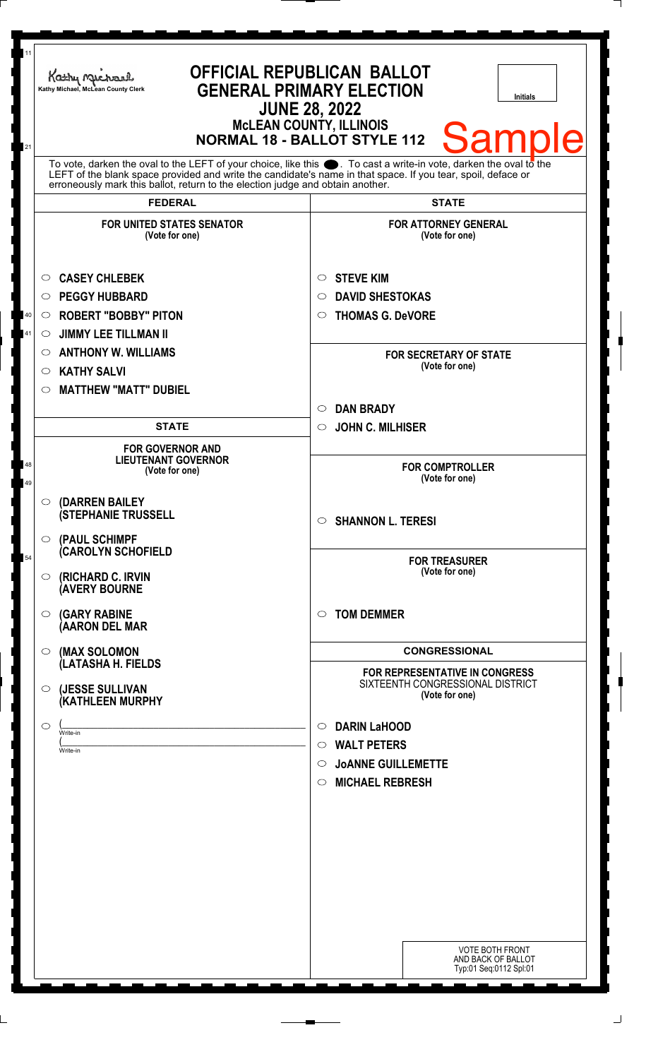| 11       | Kathy Michael<br>Kathy Michael, McLean County Clerk                                                                                                                                                                                                                                                                          | <b>OFFICIAL REPUBLICAN BALLOT</b><br><b>GENERAL PRIMARY ELECTION</b><br><b>Initials</b> |  |
|----------|------------------------------------------------------------------------------------------------------------------------------------------------------------------------------------------------------------------------------------------------------------------------------------------------------------------------------|-----------------------------------------------------------------------------------------|--|
| 21       | <b>JUNE 28, 2022</b><br><b>McLEAN COUNTY, ILLINOIS</b><br><b>Sample</b><br><b>NORMAL 18 - BALLOT STYLE 112</b>                                                                                                                                                                                                               |                                                                                         |  |
|          | To vote, darken the oval to the LEFT of your choice, like this $\bullet$ . To cast a write-in vote, darken the oval to the<br>LEFT of the blank space provided and write the candidate's name in that space. If you tear, spoil, deface or<br>erroneously mark this ballot, return to the election judge and obtain another. |                                                                                         |  |
|          | <b>FEDERAL</b>                                                                                                                                                                                                                                                                                                               | <b>STATE</b>                                                                            |  |
|          | <b>FOR UNITED STATES SENATOR</b><br>(Vote for one)                                                                                                                                                                                                                                                                           | <b>FOR ATTORNEY GENERAL</b><br>(Vote for one)                                           |  |
|          | <b>CASEY CHLEBEK</b><br>$\circ$                                                                                                                                                                                                                                                                                              | <b>STEVE KIM</b><br>$\circ$                                                             |  |
|          | <b>PEGGY HUBBARD</b><br>$\circ$                                                                                                                                                                                                                                                                                              | <b>DAVID SHESTOKAS</b><br>O                                                             |  |
| $40\,$   | <b>ROBERT "BOBBY" PITON</b><br>$\circ$                                                                                                                                                                                                                                                                                       | <b>THOMAS G. DeVORE</b><br>$\circ$                                                      |  |
| 41       | <b>JIMMY LEE TILLMAN II</b><br>O                                                                                                                                                                                                                                                                                             |                                                                                         |  |
|          | <b>ANTHONY W. WILLIAMS</b><br>O                                                                                                                                                                                                                                                                                              | <b>FOR SECRETARY OF STATE</b>                                                           |  |
|          | <b>KATHY SALVI</b><br>$\circ$                                                                                                                                                                                                                                                                                                | (Vote for one)                                                                          |  |
|          | <b>MATTHEW "MATT" DUBIEL</b><br>O                                                                                                                                                                                                                                                                                            |                                                                                         |  |
|          |                                                                                                                                                                                                                                                                                                                              | <b>DAN BRADY</b><br>$\circ$                                                             |  |
|          | <b>STATE</b>                                                                                                                                                                                                                                                                                                                 | <b>JOHN C. MILHISER</b><br>$\circ$                                                      |  |
|          |                                                                                                                                                                                                                                                                                                                              |                                                                                         |  |
| 48<br>49 | <b>FOR GOVERNOR AND</b><br><b>LIEUTENANT GOVERNOR</b><br>(Vote for one)                                                                                                                                                                                                                                                      | <b>FOR COMPTROLLER</b><br>(Vote for one)                                                |  |
|          | (DARREN BAILEY<br>$\circ$<br><b>(STEPHANIE TRUSSELL</b>                                                                                                                                                                                                                                                                      | <b>SHANNON L. TERESI</b><br>$\circ$                                                     |  |
| 54       | (PAUL SCHIMPF<br>$\circ$<br><b>CAROLYN SCHOFIELD</b><br>(RICHARD C. IRVIN<br>O.                                                                                                                                                                                                                                              | <b>FOR TREASURER</b><br>(Vote for one)                                                  |  |
|          | <b>(AVERY BOURNE</b><br><b>(GARY RABINE</b><br>$\circ$<br>(AARON DEL MAR                                                                                                                                                                                                                                                     | <b>TOM DEMMER</b><br>$\circ$                                                            |  |
|          | (MAX SOLOMON<br>$\circ$                                                                                                                                                                                                                                                                                                      | <b>CONGRESSIONAL</b>                                                                    |  |
|          | (LATASHA H. FIELDS                                                                                                                                                                                                                                                                                                           | <b>FOR REPRESENTATIVE IN CONGRESS</b>                                                   |  |
|          | (JESSE SULLIVAN<br>$\circ$<br>(KATHLEEN MURPHY                                                                                                                                                                                                                                                                               | SIXTEENTH CONGRESSIONAL DISTRICT<br>(Vote for one)                                      |  |
|          | O<br>Write-in                                                                                                                                                                                                                                                                                                                | <b>DARIN LaHOOD</b><br>$\circ$                                                          |  |
|          | Write-in                                                                                                                                                                                                                                                                                                                     | <b>WALT PETERS</b><br>$\circ$                                                           |  |
|          |                                                                                                                                                                                                                                                                                                                              | <b>JOANNE GUILLEMETTE</b><br>$\circ$                                                    |  |
|          |                                                                                                                                                                                                                                                                                                                              | <b>MICHAEL REBRESH</b><br>$\circ$                                                       |  |
|          |                                                                                                                                                                                                                                                                                                                              |                                                                                         |  |
|          |                                                                                                                                                                                                                                                                                                                              |                                                                                         |  |
|          |                                                                                                                                                                                                                                                                                                                              |                                                                                         |  |
|          |                                                                                                                                                                                                                                                                                                                              |                                                                                         |  |
|          |                                                                                                                                                                                                                                                                                                                              |                                                                                         |  |
|          |                                                                                                                                                                                                                                                                                                                              |                                                                                         |  |
|          |                                                                                                                                                                                                                                                                                                                              |                                                                                         |  |
|          |                                                                                                                                                                                                                                                                                                                              |                                                                                         |  |
|          |                                                                                                                                                                                                                                                                                                                              | <b>VOTE BOTH FRONT</b><br>AND BACK OF BALLOT<br>Typ:01 Seq:0112 Spl:01                  |  |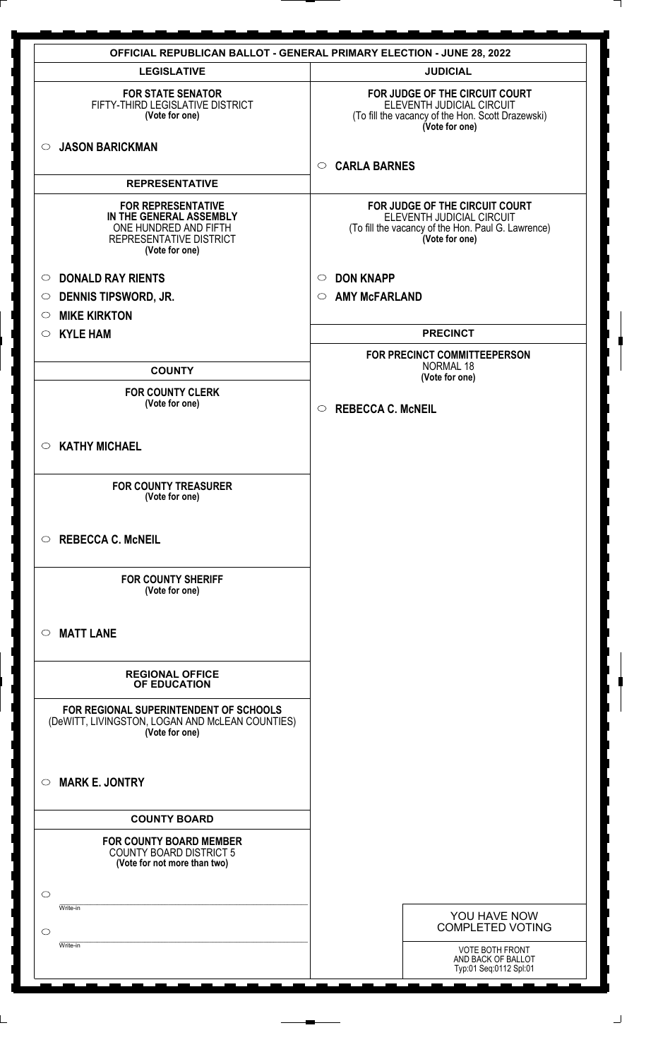| <b>JUDICIAL</b><br><b>LEGISLATIVE</b><br>FOR JUDGE OF THE CIRCUIT COURT<br><b>FOR STATE SENATOR</b><br>FIFTY-THIRD LEGISLATIVE DISTRICT<br>ELEVENTH JUDICIAL CIRCUIT<br>(Vote for one)<br>(To fill the vacancy of the Hon. Scott Drazewski)<br>(Vote for one)<br><b>JASON BARICKMAN</b><br>$\circ$<br><b>CARLA BARNES</b><br>$\circ$<br><b>REPRESENTATIVE</b><br><b>FOR REPRESENTATIVE</b><br>FOR JUDGE OF THE CIRCUIT COURT<br>IN THE GENERAL ASSEMBLY<br>ELEVENTH JUDICIAL CIRCUIT<br>ONE HUNDRED AND FIFTH<br>(To fill the vacancy of the Hon. Paul G. Lawrence)<br>(Vote for one)<br>REPRESENTATIVE DISTRICT<br>(Vote for one)<br><b>DONALD RAY RIENTS</b><br><b>DON KNAPP</b><br>$\circ$<br>$\circ$<br><b>DENNIS TIPSWORD, JR.</b><br><b>AMY McFARLAND</b><br>$\circ$<br>$\circ$<br><b>MIKE KIRKTON</b><br>$\circ$<br><b>PRECINCT</b><br><b>KYLE HAM</b><br>$\circ$<br>FOR PRECINCT COMMITTEEPERSON<br><b>NORMAL 18</b><br><b>COUNTY</b><br>(Vote for one)<br><b>FOR COUNTY CLERK</b><br>(Vote for one)<br><b>REBECCA C. McNEIL</b><br>$\circ$<br><b>KATHY MICHAEL</b><br>$\circ$<br><b>FOR COUNTY TREASURER</b><br>(Vote for one)<br><b>REBECCA C. McNEIL</b><br>$\circ$<br><b>FOR COUNTY SHERIFF</b><br>(Vote for one)<br><b>MATT LANE</b><br>$\circ$<br><b>REGIONAL OFFICE</b><br>OF EDUCATION<br>FOR REGIONAL SUPERINTENDENT OF SCHOOLS<br>(DeWITT, LIVINGSTON, LOGAN AND McLEAN COUNTIES)<br>(Vote for one)<br><b>MARK E. JONTRY</b><br>$\circ$<br><b>COUNTY BOARD</b><br><b>FOR COUNTY BOARD MEMBER</b><br><b>COUNTY BOARD DISTRICT 5</b><br>(Vote for not more than two)<br>$\circ$<br>Write-in<br>YOU HAVE NOW<br><b>COMPLETED VOTING</b><br>$\circ$<br>Write-in<br><b>VOTE BOTH FRONT</b><br>AND BACK OF BALLOT | <b>OFFICIAL REPUBLICAN BALLOT - GENERAL PRIMARY ELECTION - JUNE 28, 2022</b> |                        |  |
|-------------------------------------------------------------------------------------------------------------------------------------------------------------------------------------------------------------------------------------------------------------------------------------------------------------------------------------------------------------------------------------------------------------------------------------------------------------------------------------------------------------------------------------------------------------------------------------------------------------------------------------------------------------------------------------------------------------------------------------------------------------------------------------------------------------------------------------------------------------------------------------------------------------------------------------------------------------------------------------------------------------------------------------------------------------------------------------------------------------------------------------------------------------------------------------------------------------------------------------------------------------------------------------------------------------------------------------------------------------------------------------------------------------------------------------------------------------------------------------------------------------------------------------------------------------------------------------------------------------------------------------------------------------------------------------------------------------------------------|------------------------------------------------------------------------------|------------------------|--|
|                                                                                                                                                                                                                                                                                                                                                                                                                                                                                                                                                                                                                                                                                                                                                                                                                                                                                                                                                                                                                                                                                                                                                                                                                                                                                                                                                                                                                                                                                                                                                                                                                                                                                                                               |                                                                              |                        |  |
|                                                                                                                                                                                                                                                                                                                                                                                                                                                                                                                                                                                                                                                                                                                                                                                                                                                                                                                                                                                                                                                                                                                                                                                                                                                                                                                                                                                                                                                                                                                                                                                                                                                                                                                               |                                                                              |                        |  |
|                                                                                                                                                                                                                                                                                                                                                                                                                                                                                                                                                                                                                                                                                                                                                                                                                                                                                                                                                                                                                                                                                                                                                                                                                                                                                                                                                                                                                                                                                                                                                                                                                                                                                                                               |                                                                              |                        |  |
|                                                                                                                                                                                                                                                                                                                                                                                                                                                                                                                                                                                                                                                                                                                                                                                                                                                                                                                                                                                                                                                                                                                                                                                                                                                                                                                                                                                                                                                                                                                                                                                                                                                                                                                               |                                                                              |                        |  |
|                                                                                                                                                                                                                                                                                                                                                                                                                                                                                                                                                                                                                                                                                                                                                                                                                                                                                                                                                                                                                                                                                                                                                                                                                                                                                                                                                                                                                                                                                                                                                                                                                                                                                                                               |                                                                              |                        |  |
|                                                                                                                                                                                                                                                                                                                                                                                                                                                                                                                                                                                                                                                                                                                                                                                                                                                                                                                                                                                                                                                                                                                                                                                                                                                                                                                                                                                                                                                                                                                                                                                                                                                                                                                               |                                                                              |                        |  |
|                                                                                                                                                                                                                                                                                                                                                                                                                                                                                                                                                                                                                                                                                                                                                                                                                                                                                                                                                                                                                                                                                                                                                                                                                                                                                                                                                                                                                                                                                                                                                                                                                                                                                                                               |                                                                              |                        |  |
|                                                                                                                                                                                                                                                                                                                                                                                                                                                                                                                                                                                                                                                                                                                                                                                                                                                                                                                                                                                                                                                                                                                                                                                                                                                                                                                                                                                                                                                                                                                                                                                                                                                                                                                               |                                                                              |                        |  |
|                                                                                                                                                                                                                                                                                                                                                                                                                                                                                                                                                                                                                                                                                                                                                                                                                                                                                                                                                                                                                                                                                                                                                                                                                                                                                                                                                                                                                                                                                                                                                                                                                                                                                                                               |                                                                              |                        |  |
|                                                                                                                                                                                                                                                                                                                                                                                                                                                                                                                                                                                                                                                                                                                                                                                                                                                                                                                                                                                                                                                                                                                                                                                                                                                                                                                                                                                                                                                                                                                                                                                                                                                                                                                               |                                                                              |                        |  |
|                                                                                                                                                                                                                                                                                                                                                                                                                                                                                                                                                                                                                                                                                                                                                                                                                                                                                                                                                                                                                                                                                                                                                                                                                                                                                                                                                                                                                                                                                                                                                                                                                                                                                                                               |                                                                              |                        |  |
|                                                                                                                                                                                                                                                                                                                                                                                                                                                                                                                                                                                                                                                                                                                                                                                                                                                                                                                                                                                                                                                                                                                                                                                                                                                                                                                                                                                                                                                                                                                                                                                                                                                                                                                               |                                                                              |                        |  |
|                                                                                                                                                                                                                                                                                                                                                                                                                                                                                                                                                                                                                                                                                                                                                                                                                                                                                                                                                                                                                                                                                                                                                                                                                                                                                                                                                                                                                                                                                                                                                                                                                                                                                                                               |                                                                              |                        |  |
|                                                                                                                                                                                                                                                                                                                                                                                                                                                                                                                                                                                                                                                                                                                                                                                                                                                                                                                                                                                                                                                                                                                                                                                                                                                                                                                                                                                                                                                                                                                                                                                                                                                                                                                               |                                                                              |                        |  |
|                                                                                                                                                                                                                                                                                                                                                                                                                                                                                                                                                                                                                                                                                                                                                                                                                                                                                                                                                                                                                                                                                                                                                                                                                                                                                                                                                                                                                                                                                                                                                                                                                                                                                                                               |                                                                              |                        |  |
|                                                                                                                                                                                                                                                                                                                                                                                                                                                                                                                                                                                                                                                                                                                                                                                                                                                                                                                                                                                                                                                                                                                                                                                                                                                                                                                                                                                                                                                                                                                                                                                                                                                                                                                               |                                                                              |                        |  |
|                                                                                                                                                                                                                                                                                                                                                                                                                                                                                                                                                                                                                                                                                                                                                                                                                                                                                                                                                                                                                                                                                                                                                                                                                                                                                                                                                                                                                                                                                                                                                                                                                                                                                                                               |                                                                              |                        |  |
|                                                                                                                                                                                                                                                                                                                                                                                                                                                                                                                                                                                                                                                                                                                                                                                                                                                                                                                                                                                                                                                                                                                                                                                                                                                                                                                                                                                                                                                                                                                                                                                                                                                                                                                               |                                                                              |                        |  |
|                                                                                                                                                                                                                                                                                                                                                                                                                                                                                                                                                                                                                                                                                                                                                                                                                                                                                                                                                                                                                                                                                                                                                                                                                                                                                                                                                                                                                                                                                                                                                                                                                                                                                                                               |                                                                              |                        |  |
|                                                                                                                                                                                                                                                                                                                                                                                                                                                                                                                                                                                                                                                                                                                                                                                                                                                                                                                                                                                                                                                                                                                                                                                                                                                                                                                                                                                                                                                                                                                                                                                                                                                                                                                               |                                                                              |                        |  |
|                                                                                                                                                                                                                                                                                                                                                                                                                                                                                                                                                                                                                                                                                                                                                                                                                                                                                                                                                                                                                                                                                                                                                                                                                                                                                                                                                                                                                                                                                                                                                                                                                                                                                                                               |                                                                              |                        |  |
|                                                                                                                                                                                                                                                                                                                                                                                                                                                                                                                                                                                                                                                                                                                                                                                                                                                                                                                                                                                                                                                                                                                                                                                                                                                                                                                                                                                                                                                                                                                                                                                                                                                                                                                               |                                                                              |                        |  |
|                                                                                                                                                                                                                                                                                                                                                                                                                                                                                                                                                                                                                                                                                                                                                                                                                                                                                                                                                                                                                                                                                                                                                                                                                                                                                                                                                                                                                                                                                                                                                                                                                                                                                                                               |                                                                              |                        |  |
|                                                                                                                                                                                                                                                                                                                                                                                                                                                                                                                                                                                                                                                                                                                                                                                                                                                                                                                                                                                                                                                                                                                                                                                                                                                                                                                                                                                                                                                                                                                                                                                                                                                                                                                               |                                                                              |                        |  |
|                                                                                                                                                                                                                                                                                                                                                                                                                                                                                                                                                                                                                                                                                                                                                                                                                                                                                                                                                                                                                                                                                                                                                                                                                                                                                                                                                                                                                                                                                                                                                                                                                                                                                                                               |                                                                              |                        |  |
|                                                                                                                                                                                                                                                                                                                                                                                                                                                                                                                                                                                                                                                                                                                                                                                                                                                                                                                                                                                                                                                                                                                                                                                                                                                                                                                                                                                                                                                                                                                                                                                                                                                                                                                               |                                                                              |                        |  |
|                                                                                                                                                                                                                                                                                                                                                                                                                                                                                                                                                                                                                                                                                                                                                                                                                                                                                                                                                                                                                                                                                                                                                                                                                                                                                                                                                                                                                                                                                                                                                                                                                                                                                                                               |                                                                              | Typ:01 Seq:0112 Spl:01 |  |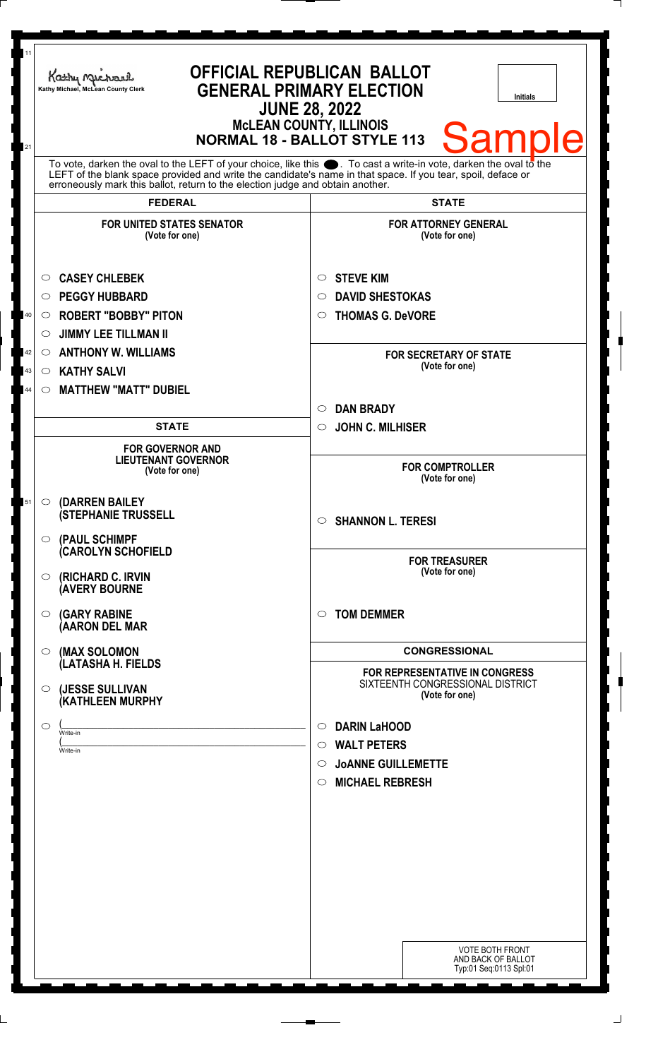| 11                   | Kathy Michael<br>Kathy Michael, McLean County Clerk                                                                                                                                                                                                                               | <b>OFFICIAL REPUBLICAN BALLOT</b><br><b>GENERAL PRIMARY ELECTION</b><br><b>Initials</b><br><b>JUNE 28, 2022</b><br><b>McLEAN COUNTY, ILLINOIS</b><br><b>Sample</b><br><b>NORMAL 18 - BALLOT STYLE 113</b> |
|----------------------|-----------------------------------------------------------------------------------------------------------------------------------------------------------------------------------------------------------------------------------------------------------------------------------|-----------------------------------------------------------------------------------------------------------------------------------------------------------------------------------------------------------|
| 21                   | To vote, darken the oval to the LEFT of your choice, like this $\bullet$ . To cast a write-in vote, darken the oval to the<br>LEFT of the blank space provided and write the candidate's name in that space. If you tear, spoil, deface or                                        |                                                                                                                                                                                                           |
|                      | erroneously mark this ballot, return to the election judge and obtain another.<br><b>FEDERAL</b>                                                                                                                                                                                  | <b>STATE</b>                                                                                                                                                                                              |
|                      | <b>FOR UNITED STATES SENATOR</b><br>(Vote for one)                                                                                                                                                                                                                                | <b>FOR ATTORNEY GENERAL</b><br>(Vote for one)                                                                                                                                                             |
| 40<br>42<br>43<br>44 | <b>CASEY CHLEBEK</b><br>$\circ$<br><b>PEGGY HUBBARD</b><br>$\circ$<br><b>ROBERT "BOBBY" PITON</b><br>O<br><b>JIMMY LEE TILLMAN II</b><br>$\circlearrowright$<br><b>ANTHONY W. WILLIAMS</b><br>$\circ$<br><b>KATHY SALVI</b><br>$\circ$<br><b>MATTHEW "MATT" DUBIEL</b><br>$\circ$ | <b>STEVE KIM</b><br>$\circ$<br><b>DAVID SHESTOKAS</b><br>O<br><b>THOMAS G. DeVORE</b><br>$\circ$<br><b>FOR SECRETARY OF STATE</b><br>(Vote for one)                                                       |
|                      |                                                                                                                                                                                                                                                                                   | <b>DAN BRADY</b><br>$\circ$                                                                                                                                                                               |
|                      | <b>STATE</b><br><b>FOR GOVERNOR AND</b><br><b>LIEUTENANT GOVERNOR</b><br>(Vote for one)                                                                                                                                                                                           | <b>JOHN C. MILHISER</b><br>$\circ$<br><b>FOR COMPTROLLER</b><br>(Vote for one)                                                                                                                            |
| 51                   | (DARREN BAILEY<br>$\circ$<br><b>(STEPHANIE TRUSSELL</b><br>$\circ$ (PAUL SCHIMPF                                                                                                                                                                                                  | <b>SHANNON L. TERESI</b><br>$\circ$                                                                                                                                                                       |
|                      | <b>CAROLYN SCHOFIELD</b><br><b>(RICHARD C. IRVIN</b><br>$\circ$<br><b>(AVERY BOURNE</b>                                                                                                                                                                                           | <b>FOR TREASURER</b><br>(Vote for one)                                                                                                                                                                    |
|                      | $\circ$ (GARY RABINE<br>(AARON DEL MAR                                                                                                                                                                                                                                            | <b>TOM DEMMER</b><br>◯                                                                                                                                                                                    |
|                      | (MAX SOLOMON<br>$\circ$                                                                                                                                                                                                                                                           | <b>CONGRESSIONAL</b>                                                                                                                                                                                      |
|                      | (LATASHA H. FIELDS<br>(JESSE SULLIVAN<br>$\circ$<br>(KATHLEEN MURPHY                                                                                                                                                                                                              | <b>FOR REPRESENTATIVE IN CONGRESS</b><br>SIXTEENTH CONGRESSIONAL DISTRICT<br>(Vote for one)                                                                                                               |
|                      | $\circ$<br>Write-in<br>Write-in                                                                                                                                                                                                                                                   | <b>DARIN LaHOOD</b><br>$\circ$<br><b>WALT PETERS</b><br>$\circ$<br><b>JOANNE GUILLEMETTE</b><br>$\circ$<br><b>MICHAEL REBRESH</b><br>$\circ$                                                              |
|                      |                                                                                                                                                                                                                                                                                   |                                                                                                                                                                                                           |
|                      |                                                                                                                                                                                                                                                                                   | <b>VOTE BOTH FRONT</b><br>AND BACK OF BALLOT<br>Typ:01 Seq:0113 Spl:01                                                                                                                                    |